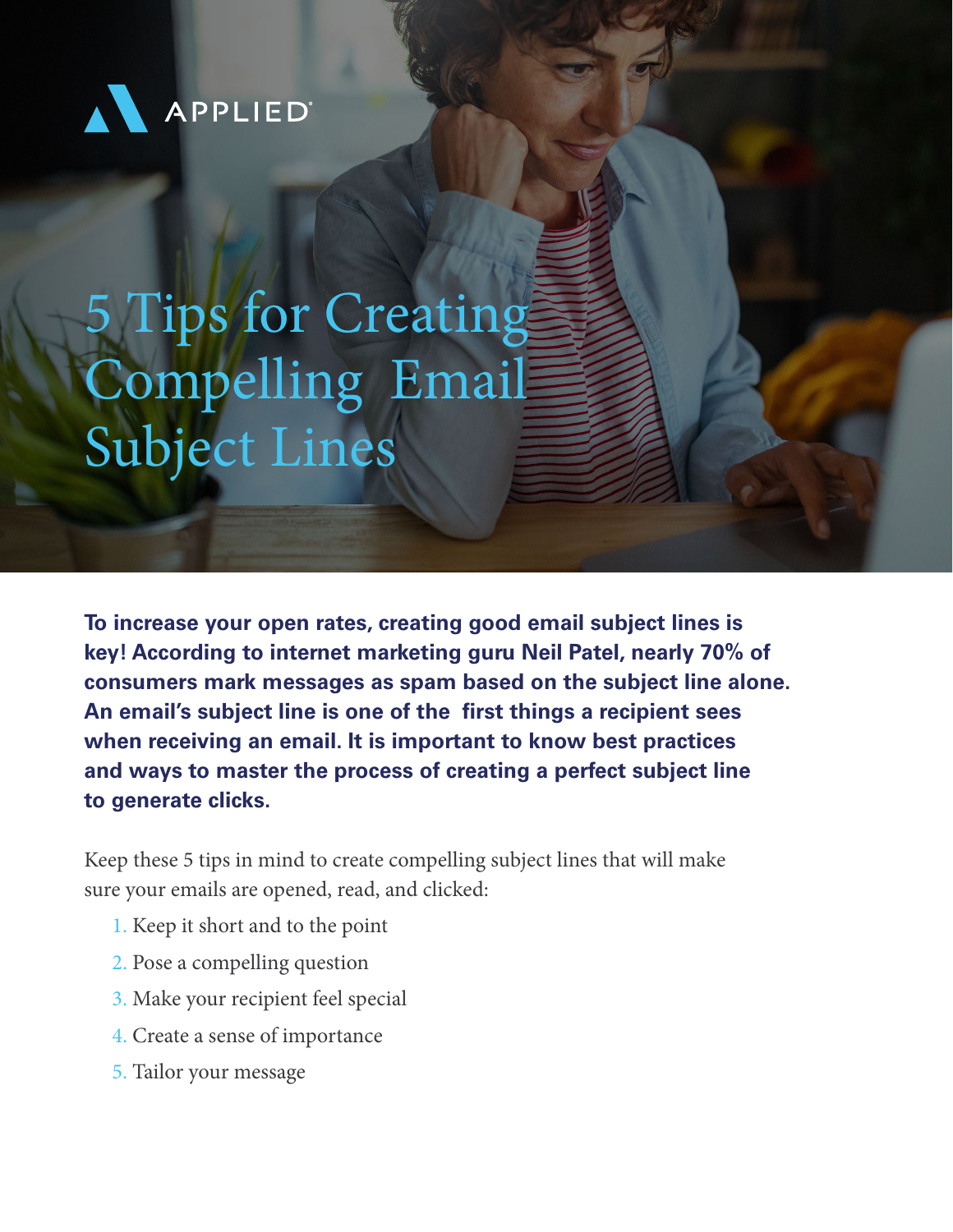

# 5 Tips for Creating Compelling Email Subject Lines

**To increase your open rates, creating good email subject lines is key! According to internet marketing guru Neil Patel, nearly 70% of consumers mark messages as spam based on the subject line alone. An email's subject line is one of the first things a recipient sees when receiving an email. It is important to know best practices and ways to master the process of creating a perfect subject line to generate clicks.** 

Keep these 5 tips in mind to create compelling subject lines that will make sure your emails are opened, read, and clicked:

- 1. Keep it short and to the point
- 2. Pose a compelling question
- 3. Make your recipient feel special
- 4. Create a sense of importance
- 5. Tailor your message